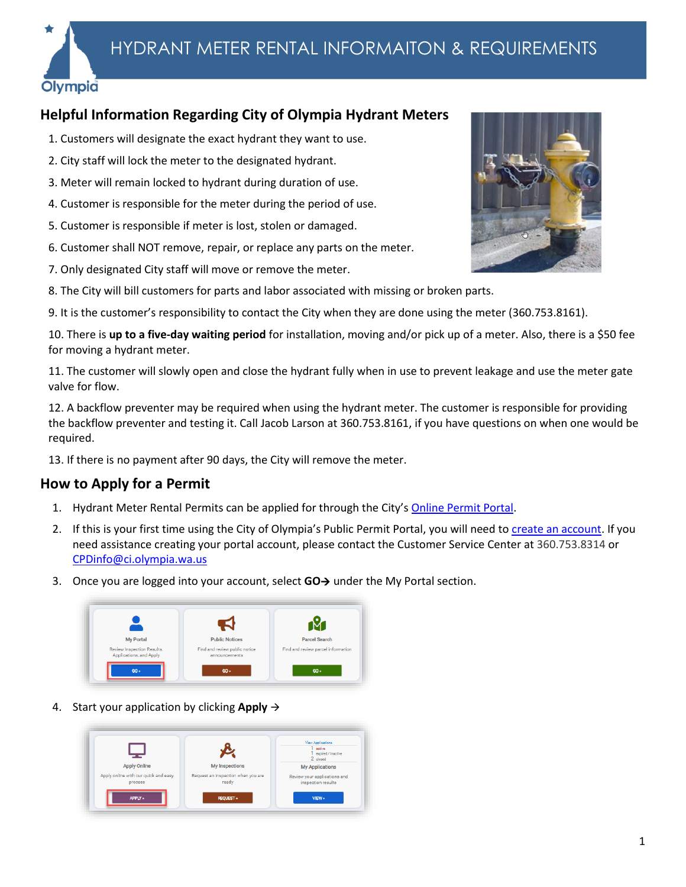

## **Helpful Information Regarding City of Olympia Hydrant Meters**

- 1. Customers will designate the exact hydrant they want to use.
- 2. City staff will lock the meter to the designated hydrant.
- 3. Meter will remain locked to hydrant during duration of use.
- 4. Customer is responsible for the meter during the period of use.
- 5. Customer is responsible if meter is lost, stolen or damaged.
- 6. Customer shall NOT remove, repair, or replace any parts on the meter.
- 7. Only designated City staff will move or remove the meter.
- 8. The City will bill customers for parts and labor associated with missing or broken parts.
- 9. It is the customer's responsibility to contact the City when they are done using the meter (360.753.8161).

10. There is **up to a five-day waiting period** for installation, moving and/or pick up of a meter. Also, there is a \$50 fee for moving a hydrant meter.

11. The customer will slowly open and close the hydrant fully when in use to prevent leakage and use the meter gate valve for flow.

12. A backflow preventer may be required when using the hydrant meter. The customer is responsible for providing the backflow preventer and testing it. Call Jacob Larson at 360.753.8161, if you have questions on when one would be required.

13. If there is no payment after 90 days, the City will remove the meter.

## **How to Apply for a Permit**

- 1. Hydrant Meter Rental Permits can be applied for through the City's [Online Permit Portal.](https://ci-olympia-wa.smartgovcommunity.com/Public/Home)
- 2. If this is your first time using the City of Olympia's Public Permit Portal, you will need t[o create an account.](https://cms7files.revize.com/olympia/Document_center/Services/Building%20Permits%20&%20Land%20Use%20Review/Permit%20Portal%20Help/PrivatePortal-CreateAccount.pdf) If you need assistance creating your portal account, please contact the Customer Service Center at [360.753.8314](tel:360.753.8314) or [CPDinfo@ci.olympia.wa.us](mailto:CPDinfo@ci.olympia.wa.us)
- 3. Once you are logged into your account, select **GO**→ under the My Portal section.



4. Start your application by clicking **Apply** →



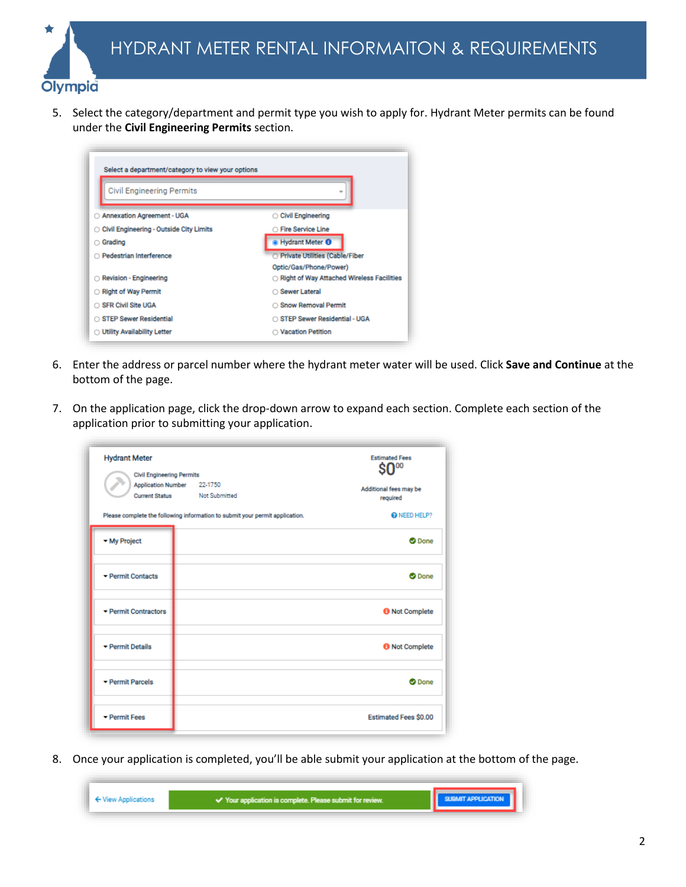

5. Select the category/department and permit type you wish to apply for. Hydrant Meter permits can be found under the **Civil Engineering Permits** section.

| <b>Civil Engineering Permits</b>          | w                                         |  |
|-------------------------------------------|-------------------------------------------|--|
| ○ Annexation Agreement - UGA              | ○ Civil Engineering                       |  |
| ○ Civil Engineering - Outside City Limits | <b>O Fire Service Line</b>                |  |
| Grading                                   | Hydrant Meter <sup>O</sup>                |  |
| <b>Pedestrian Interference</b>            | O Private Utilities (Cable/Fiber          |  |
|                                           | Optic/Gas/Phone/Power)                    |  |
| Revision - Engineering                    | Right of Way Attached Wireless Facilities |  |
| Right of Way Permit                       | ○ Sewer Lateral                           |  |
| SFR Civil Site UGA                        | ○ Snow Removal Permit                     |  |
| STEP Sewer Residential                    | ○ STEP Sewer Residential - UGA            |  |
| <b>Utility Availability Letter</b>        | ◯ Vacation Petition                       |  |

- 6. Enter the address or parcel number where the hydrant meter water will be used. Click **Save and Continue** at the bottom of the page.
- 7. On the application page, click the drop-down arrow to expand each section. Complete each section of the application prior to submitting your application.

| <b>Hydrant Meter</b><br><b>Civil Engineering Permits</b><br><b>Current Status</b> | Application Number 22-1750<br><b>Not Submitted</b><br>Please complete the following information to submit your permit application. | <b>Estimated Fees</b><br>Additional fees may be<br>required<br>R NEED HELP? |
|-----------------------------------------------------------------------------------|------------------------------------------------------------------------------------------------------------------------------------|-----------------------------------------------------------------------------|
| - My Project                                                                      |                                                                                                                                    | <b>O</b> Done                                                               |
| Permit Contacts                                                                   |                                                                                                                                    | <b>O</b> Done                                                               |
| $\blacktriangleright$ Permit Contractors                                          |                                                                                                                                    | <b>O</b> Not Complete                                                       |
| ▼ Permit Details                                                                  |                                                                                                                                    | <b>O</b> Not Complete                                                       |
| Permit Parcels                                                                    |                                                                                                                                    | <b>O</b> Done                                                               |
| Permit Fees                                                                       |                                                                                                                                    | <b>Estimated Fees \$0.00</b>                                                |

8. Once your application is completed, you'll be able submit your application at the bottom of the page.